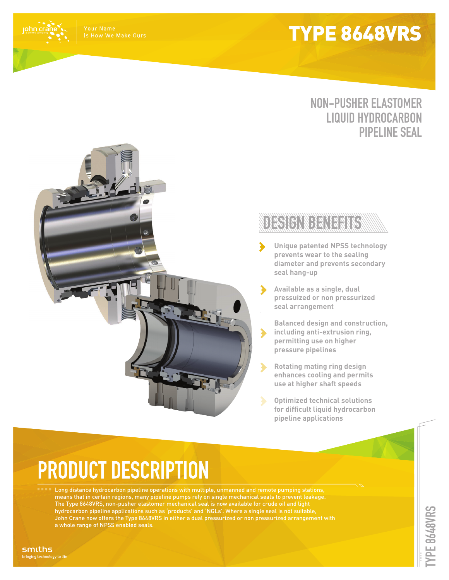## TYPE 8648VRS

john crá

### **NON-PUSHER ELASTOMER LIQUID HYDROCARBON PIPELINE SEAL**



- **Unique patented NPSS technology prevents wear to the sealing diameter and prevents secondary seal hang-up**
- **Available as a single, dual pressuized or non pressurized seal arrangement**
- **Balanced design and construction, including anti-extrusion ring,**   $\blacktriangleright$ **permitting use on higher pressure pipelines**
- $\blacktriangleright$ **Rotating mating ring design enhances cooling and permits use at higher shaft speeds**
	- **Optimized technical solutions for difficult liquid hydrocarbon pipeline applications**

# **PRODUCT DESCRIPTION**

Long distance hydrocarbon pipeline operations with multiple, unmanned and remote pumping stations, means that in certain regions, many pipeline pumps rely on single mechanical seals to prevent leakage. The Type 8648VRS, non-pusher elastomer mechanical seal is now available for crude oil and light hydrocarbon pipeline applications such as 'products' and 'NGLs'. Where a single seal is not suitable, John Crane now offers the Type 8648VRS in either a dual pressurized or non pressurized arrangement with a whole range of NPSS enabled seals.

smiths nging technology to life **PE 8648VRS TYPE 8648VRS**